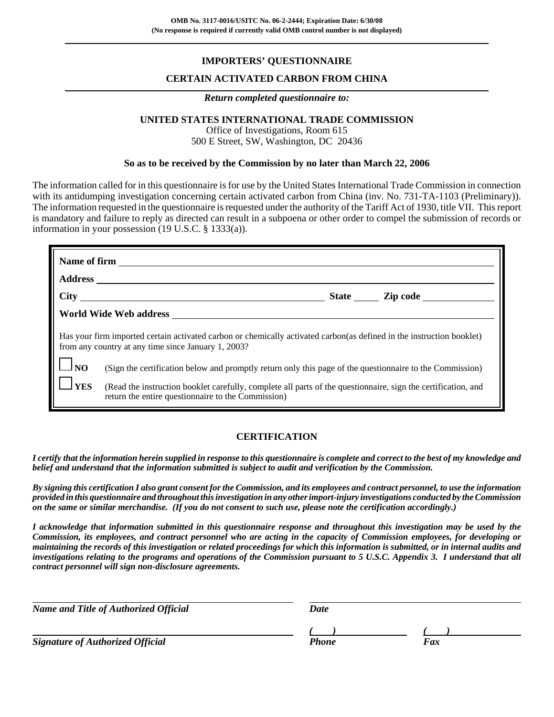## **IMPORTERS' QUESTIONNAIRE**

## **CERTAIN ACTIVATED CARBON FROM CHINA**

#### *Return completed questionnaire to:*

## **UNITED STATES INTERNATIONAL TRADE COMMISSION**

Office of Investigations, Room 615 500 E Street, SW, Washington, DC 20436

### **So as to be received by the Commission by no later than March 22, 2006**

The information called for in this questionnaire is for use by the United States International Trade Commission in connection with its antidumping investigation concerning certain activated carbon from China (inv. No. 731-TA-1103 (Preliminary)). The information requested in the questionnaire is requested under the authority of the Tariff Act of 1930, title VII. This report is mandatory and failure to reply as directed can result in a subpoena or other order to compel the submission of records or information in your possession (19 U.S.C. § 1333(a)).

|                    | Name of firm <u>superior and the set of the set of the set of the set of the set of the set of the set of the set of the set of the set of the set of the set of the set of the set of the set of the set of the set of the set </u> |
|--------------------|--------------------------------------------------------------------------------------------------------------------------------------------------------------------------------------------------------------------------------------|
|                    |                                                                                                                                                                                                                                      |
|                    |                                                                                                                                                                                                                                      |
|                    |                                                                                                                                                                                                                                      |
|                    | Has your firm imported certain activated carbon or chemically activated carbon(as defined in the instruction booklet)<br>from any country at any time since January 1, 2003?                                                         |
| $\Box_{\text{NO}}$ | (Sign the certification below and promptly return only this page of the questionnaire to the Commission)                                                                                                                             |
| 1 <sub>YES</sub>   | (Read the instruction booklet carefully, complete all parts of the questionnaire, sign the certification, and<br>return the entire questionnaire to the Commission)                                                                  |

## **CERTIFICATION**

*I certify that the information herein supplied in response to this questionnaire is complete and correct to the best of my knowledge and belief and understand that the information submitted is subject to audit and verification by the Commission.*

*By signing this certification I also grant consent for the Commission, and its employees and contract personnel, to use the information provided in this questionnaire and throughout this investigation in any other import-injury investigations conducted by the Commission on the same or similar merchandise. (If you do not consent to such use, please note the certification accordingly.)*

*I acknowledge that information submitted in this questionnaire response and throughout this investigation may be used by the Commission, its employees, and contract personnel who are acting in the capacity of Commission employees, for developing or maintaining the records of this investigation or related proceedings for which this information is submitted, or in internal audits and investigations relating to the programs and operations of the Commission pursuant to 5 U.S.C. Appendix 3. I understand that all contract personnel will sign non-disclosure agreements.*

| Name and Title of Authorized Official   | Date  |     |  |
|-----------------------------------------|-------|-----|--|
| <b>Signature of Authorized Official</b> | Phone | Fax |  |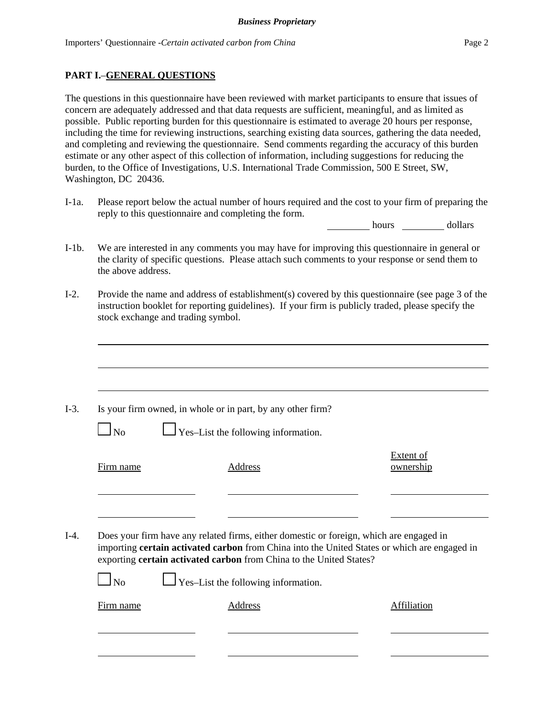## **PART I.**–**GENERAL QUESTIONS**

The questions in this questionnaire have been reviewed with market participants to ensure that issues of concern are adequately addressed and that data requests are sufficient, meaningful, and as limited as possible. Public reporting burden for this questionnaire is estimated to average 20 hours per response, including the time for reviewing instructions, searching existing data sources, gathering the data needed, and completing and reviewing the questionnaire. Send comments regarding the accuracy of this burden estimate or any other aspect of this collection of information, including suggestions for reducing the burden, to the Office of Investigations, U.S. International Trade Commission, 500 E Street, SW, Washington, DC 20436.

I-1a. Please report below the actual number of hours required and the cost to your firm of preparing the reply to this questionnaire and completing the form.

hours dollars

- I-1b. We are interested in any comments you may have for improving this questionnaire in general or the clarity of specific questions. Please attach such comments to your response or send them to the above address.
- I-2. Provide the name and address of establishment(s) covered by this questionnaire (see page 3 of the instruction booklet for reporting guidelines). If your firm is publicly traded, please specify the stock exchange and trading symbol.

|           | Is your firm owned, in whole or in part, by any other firm?                                                                                                                                                                                                    |                        |
|-----------|----------------------------------------------------------------------------------------------------------------------------------------------------------------------------------------------------------------------------------------------------------------|------------------------|
| $\Box$ No | $\perp$ Yes-List the following information.                                                                                                                                                                                                                    |                        |
| Firm name | Address                                                                                                                                                                                                                                                        | Extent of<br>ownership |
|           |                                                                                                                                                                                                                                                                |                        |
|           | Does your firm have any related firms, either domestic or foreign, which are engaged in<br>importing certain activated carbon from China into the United States or which are engaged in<br>exporting certain activated carbon from China to the United States? |                        |
| $\Box$ No | $\Box$ Yes-List the following information.                                                                                                                                                                                                                     |                        |
|           |                                                                                                                                                                                                                                                                |                        |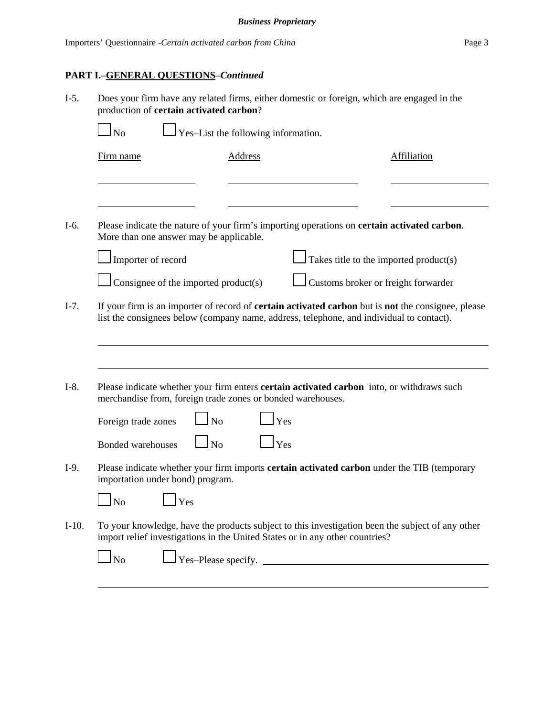# **PART I.**–**GENERAL QUESTIONS**–*Continued*

| $I-5.$  | Does your firm have any related firms, either domestic or foreign, which are engaged in the<br>production of certain activated carbon?                                                                       |                                     |                                        |                    |
|---------|--------------------------------------------------------------------------------------------------------------------------------------------------------------------------------------------------------------|-------------------------------------|----------------------------------------|--------------------|
|         | <b>No</b>                                                                                                                                                                                                    | Yes-List the following information. |                                        |                    |
|         | Firm name                                                                                                                                                                                                    | Address                             |                                        | <b>Affiliation</b> |
|         |                                                                                                                                                                                                              |                                     |                                        |                    |
| $I-6.$  | Please indicate the nature of your firm's importing operations on <b>certain activated carbon</b> .<br>More than one answer may be applicable.                                                               |                                     |                                        |                    |
|         | Importer of record                                                                                                                                                                                           |                                     | Takes title to the imported product(s) |                    |
|         | Consignee of the imported product(s)                                                                                                                                                                         |                                     | Customs broker or freight forwarder    |                    |
| $I-7.$  | If your firm is an importer of record of <b>certain activated carbon</b> but is <b>not</b> the consignee, please<br>list the consignees below (company name, address, telephone, and individual to contact). |                                     |                                        |                    |
| $I-8.$  | Please indicate whether your firm enters <b>certain activated carbon</b> into, or withdraws such<br>merchandise from, foreign trade zones or bonded warehouses.                                              |                                     |                                        |                    |
|         | Foreign trade zones                                                                                                                                                                                          | N <sub>o</sub>                      | Yes                                    |                    |
|         | $\ln$<br><b>Bonded warehouses</b>                                                                                                                                                                            |                                     | Yes                                    |                    |
| $I-9.$  | Please indicate whether your firm imports certain activated carbon under the TIB (temporary<br>importation under bond) program.                                                                              |                                     |                                        |                    |
|         | $\mathbf{\bar{\perp}}$ No<br>$\mathbf{\bot}$ Yes                                                                                                                                                             |                                     |                                        |                    |
| $I-10.$ | To your knowledge, have the products subject to this investigation been the subject of any other<br>import relief investigations in the United States or in any other countries?                             |                                     |                                        |                    |
|         | $\mathbf{\mathbf{I}}$ No                                                                                                                                                                                     |                                     | $\Gamma$ Yes-Please specify. $\Gamma$  |                    |
|         |                                                                                                                                                                                                              |                                     |                                        |                    |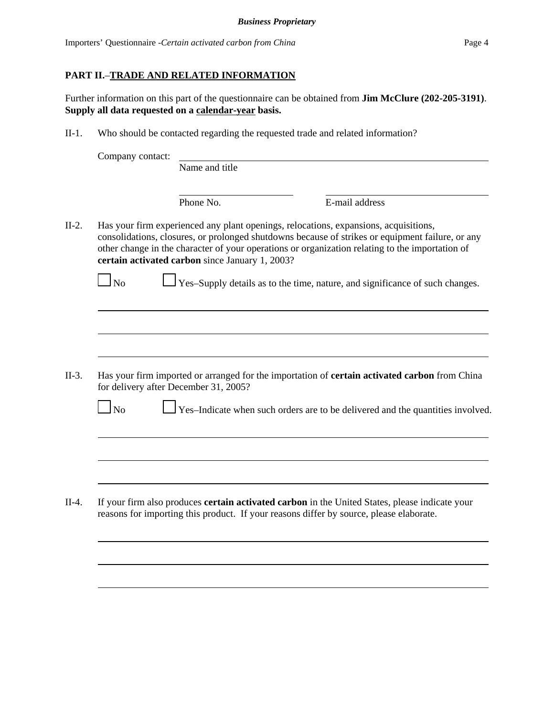# **PART II.**–**TRADE AND RELATED INFORMATION**

Further information on this part of the questionnaire can be obtained from **Jim McClure (202-205-3191)**. **Supply all data requested on a calendar-year basis.**

II-1. Who should be contacted regarding the requested trade and related information?

| Company contact: | Name and title                                  |                                                                                                                                                                                                                                                                                             |
|------------------|-------------------------------------------------|---------------------------------------------------------------------------------------------------------------------------------------------------------------------------------------------------------------------------------------------------------------------------------------------|
|                  | Phone No.                                       | E-mail address                                                                                                                                                                                                                                                                              |
|                  | certain activated carbon since January 1, 2003? | Has your firm experienced any plant openings, relocations, expansions, acquisitions,<br>consolidations, closures, or prolonged shutdowns because of strikes or equipment failure, or any<br>other change in the character of your operations or organization relating to the importation of |
| <b>No</b>        |                                                 | Yes-Supply details as to the time, nature, and significance of such changes.                                                                                                                                                                                                                |
|                  |                                                 |                                                                                                                                                                                                                                                                                             |
|                  |                                                 |                                                                                                                                                                                                                                                                                             |
|                  | for delivery after December 31, 2005?           | Has your firm imported or arranged for the importation of certain activated carbon from China                                                                                                                                                                                               |
|                  |                                                 |                                                                                                                                                                                                                                                                                             |
| No               |                                                 |                                                                                                                                                                                                                                                                                             |
|                  |                                                 |                                                                                                                                                                                                                                                                                             |
|                  |                                                 | Yes-Indicate when such orders are to be delivered and the quantities involved.                                                                                                                                                                                                              |
|                  |                                                 | If your firm also produces <b>certain activated carbon</b> in the United States, please indicate your<br>reasons for importing this product. If your reasons differ by source, please elaborate.                                                                                            |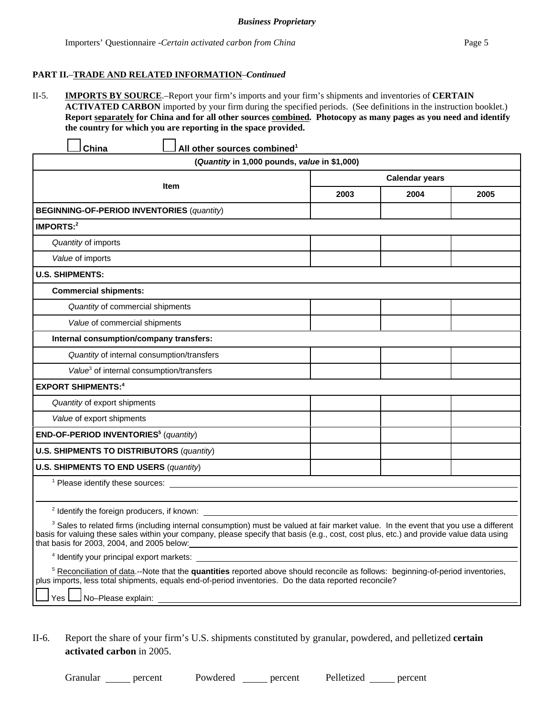## **PART II.**–**TRADE AND RELATED INFORMATION**–*Continued*

II-5. **IMPORTS BY SOURCE**.–Report your firm's imports and your firm's shipments and inventories of **CERTAIN ACTIVATED CARBON** imported by your firm during the specified periods. (See definitions in the instruction booklet.) **Report separately for China and for all other sources combined. Photocopy as many pages as you need and identify the country for which you are reporting in the space provided.**

| China<br>All other sources combined <sup>1</sup>                                                                                                                                                                                                                                                                                                                                                             |                       |      |      |
|--------------------------------------------------------------------------------------------------------------------------------------------------------------------------------------------------------------------------------------------------------------------------------------------------------------------------------------------------------------------------------------------------------------|-----------------------|------|------|
| (Quantity in 1,000 pounds, value in \$1,000)                                                                                                                                                                                                                                                                                                                                                                 |                       |      |      |
| <b>Item</b>                                                                                                                                                                                                                                                                                                                                                                                                  | <b>Calendar years</b> |      |      |
|                                                                                                                                                                                                                                                                                                                                                                                                              | 2003                  | 2004 | 2005 |
| <b>BEGINNING-OF-PERIOD INVENTORIES (quantity)</b>                                                                                                                                                                                                                                                                                                                                                            |                       |      |      |
| IMPORTS: $2$                                                                                                                                                                                                                                                                                                                                                                                                 |                       |      |      |
| Quantity of imports                                                                                                                                                                                                                                                                                                                                                                                          |                       |      |      |
| Value of imports                                                                                                                                                                                                                                                                                                                                                                                             |                       |      |      |
| <b>U.S. SHIPMENTS:</b>                                                                                                                                                                                                                                                                                                                                                                                       |                       |      |      |
| <b>Commercial shipments:</b>                                                                                                                                                                                                                                                                                                                                                                                 |                       |      |      |
| Quantity of commercial shipments                                                                                                                                                                                                                                                                                                                                                                             |                       |      |      |
| Value of commercial shipments                                                                                                                                                                                                                                                                                                                                                                                |                       |      |      |
| Internal consumption/company transfers:                                                                                                                                                                                                                                                                                                                                                                      |                       |      |      |
| Quantity of internal consumption/transfers                                                                                                                                                                                                                                                                                                                                                                   |                       |      |      |
| Value <sup>3</sup> of internal consumption/transfers                                                                                                                                                                                                                                                                                                                                                         |                       |      |      |
| <b>EXPORT SHIPMENTS:4</b>                                                                                                                                                                                                                                                                                                                                                                                    |                       |      |      |
| Quantity of export shipments                                                                                                                                                                                                                                                                                                                                                                                 |                       |      |      |
| Value of export shipments                                                                                                                                                                                                                                                                                                                                                                                    |                       |      |      |
| END-OF-PERIOD INVENTORIES <sup>5</sup> (quantity)                                                                                                                                                                                                                                                                                                                                                            |                       |      |      |
| <b>U.S. SHIPMENTS TO DISTRIBUTORS (quantity)</b>                                                                                                                                                                                                                                                                                                                                                             |                       |      |      |
| <b>U.S. SHIPMENTS TO END USERS (quantity)</b>                                                                                                                                                                                                                                                                                                                                                                |                       |      |      |
|                                                                                                                                                                                                                                                                                                                                                                                                              |                       |      |      |
| $2$ Identify the foreign producers, if known: $\_\_$                                                                                                                                                                                                                                                                                                                                                         |                       |      |      |
|                                                                                                                                                                                                                                                                                                                                                                                                              |                       |      |      |
| <sup>3</sup> Sales to related firms (including internal consumption) must be valued at fair market value. In the event that you use a different<br>basis for valuing these sales within your company, please specify that basis (e.g., cost, cost plus, etc.) and provide value data using<br>that basis for 2003, 2004, and 2005 below: with a state of the state of the state of the state of the state of |                       |      |      |
| <sup>4</sup> Identify your principal export markets:                                                                                                                                                                                                                                                                                                                                                         |                       |      |      |
| <sup>5</sup> Reconciliation of data.--Note that the quantities reported above should reconcile as follows: beginning-of-period inventories,<br>plus imports, less total shipments, equals end-of-period inventories. Do the data reported reconcile?<br>No-Please explain:<br>Yes I                                                                                                                          |                       |      |      |
|                                                                                                                                                                                                                                                                                                                                                                                                              |                       |      |      |

II-6. Report the share of your firm's U.S. shipments constituted by granular, powdered, and pelletized **certain activated carbon** in 2005.

Granular percent Powdered percent Pelletized percent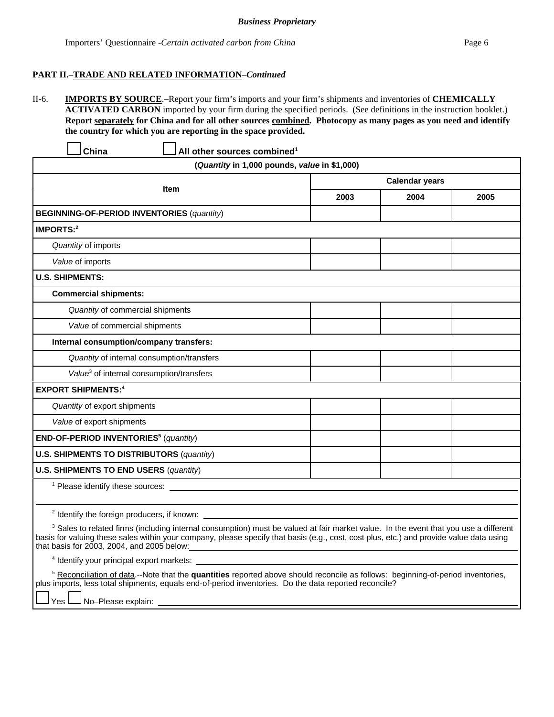### **PART II.**–**TRADE AND RELATED INFORMATION**–*Continued*

II-6. **IMPORTS BY SOURCE**.–Report your firm's imports and your firm's shipments and inventories of **CHEMICALLY ACTIVATED CARBON** imported by your firm during the specified periods. (See definitions in the instruction booklet.) **Report separately for China and for all other sources combined. Photocopy as many pages as you need and identify the country for which you are reporting in the space provided.**

|                       | China                                                | All other sources combined <sup>1</sup>                                                                                                                                                                                                                                                    |                                              |                       |      |  |
|-----------------------|------------------------------------------------------|--------------------------------------------------------------------------------------------------------------------------------------------------------------------------------------------------------------------------------------------------------------------------------------------|----------------------------------------------|-----------------------|------|--|
|                       |                                                      |                                                                                                                                                                                                                                                                                            | (Quantity in 1,000 pounds, value in \$1,000) |                       |      |  |
|                       |                                                      |                                                                                                                                                                                                                                                                                            |                                              | <b>Calendar years</b> |      |  |
|                       |                                                      | Item                                                                                                                                                                                                                                                                                       | 2003                                         | 2004                  | 2005 |  |
|                       | <b>BEGINNING-OF-PERIOD INVENTORIES (quantity)</b>    |                                                                                                                                                                                                                                                                                            |                                              |                       |      |  |
| IMPORTS: <sup>2</sup> |                                                      |                                                                                                                                                                                                                                                                                            |                                              |                       |      |  |
|                       | Quantity of imports                                  |                                                                                                                                                                                                                                                                                            |                                              |                       |      |  |
|                       | Value of imports                                     |                                                                                                                                                                                                                                                                                            |                                              |                       |      |  |
|                       | <b>U.S. SHIPMENTS:</b>                               |                                                                                                                                                                                                                                                                                            |                                              |                       |      |  |
|                       | <b>Commercial shipments:</b>                         |                                                                                                                                                                                                                                                                                            |                                              |                       |      |  |
|                       | Quantity of commercial shipments                     |                                                                                                                                                                                                                                                                                            |                                              |                       |      |  |
|                       | Value of commercial shipments                        |                                                                                                                                                                                                                                                                                            |                                              |                       |      |  |
|                       | Internal consumption/company transfers:              |                                                                                                                                                                                                                                                                                            |                                              |                       |      |  |
|                       | Quantity of internal consumption/transfers           |                                                                                                                                                                                                                                                                                            |                                              |                       |      |  |
|                       | Value <sup>3</sup> of internal consumption/transfers |                                                                                                                                                                                                                                                                                            |                                              |                       |      |  |
|                       | <b>EXPORT SHIPMENTS:4</b>                            |                                                                                                                                                                                                                                                                                            |                                              |                       |      |  |
|                       | Quantity of export shipments                         |                                                                                                                                                                                                                                                                                            |                                              |                       |      |  |
|                       | Value of export shipments                            |                                                                                                                                                                                                                                                                                            |                                              |                       |      |  |
|                       | END-OF-PERIOD INVENTORIES <sup>5</sup> (quantity)    |                                                                                                                                                                                                                                                                                            |                                              |                       |      |  |
|                       | <b>U.S. SHIPMENTS TO DISTRIBUTORS (quantity)</b>     |                                                                                                                                                                                                                                                                                            |                                              |                       |      |  |
|                       | <b>U.S. SHIPMENTS TO END USERS (quantity)</b>        |                                                                                                                                                                                                                                                                                            |                                              |                       |      |  |
|                       |                                                      | <sup>1</sup> Please identify these sources:                                                                                                                                                                                                                                                |                                              |                       |      |  |
|                       |                                                      |                                                                                                                                                                                                                                                                                            |                                              |                       |      |  |
|                       |                                                      | <sup>2</sup> Identify the foreign producers, if known:                                                                                                                                                                                                                                     |                                              |                       |      |  |
|                       | that basis for 2003, 2004, and 2005 below:           | <sup>3</sup> Sales to related firms (including internal consumption) must be valued at fair market value. In the event that you use a different<br>basis for valuing these sales within your company, please specify that basis (e.g., cost, cost plus, etc.) and provide value data using |                                              |                       |      |  |
|                       | <sup>4</sup> Identify your principal export markets: |                                                                                                                                                                                                                                                                                            |                                              |                       |      |  |
|                       |                                                      | <sup>5</sup> Reconciliation of data.--Note that the quantities reported above should reconcile as follows: beginning-of-period inventories,<br>plus imports, less total shipments, equals end-of-period inventories. Do the data reported reconcile?                                       |                                              |                       |      |  |

 $\Box$  Yes  $\Box$  No–Please explain: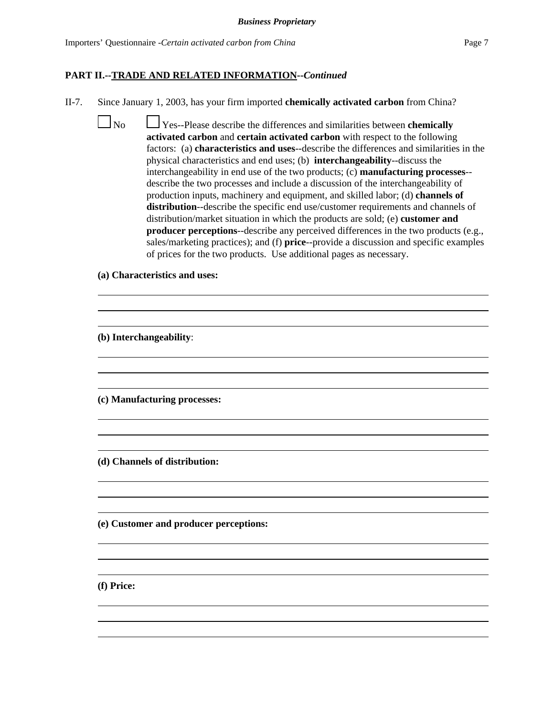#### **PART II.--TRADE AND RELATED INFORMATION--***Continued*

II-7. Since January 1, 2003, has your firm imported **chemically activated carbon** from China?

 No Yes--Please describe the differences and similarities between **chemically activated carbon** and **certain activated carbon** with respect to the following factors: (a) **characteristics and uses**--describe the differences and similarities in the physical characteristics and end uses; (b) **interchangeability**--discuss the interchangeability in end use of the two products; (c) **manufacturing processes**- describe the two processes and include a discussion of the interchangeability of production inputs, machinery and equipment, and skilled labor; (d) **channels of distribution**--describe the specific end use/customer requirements and channels of distribution/market situation in which the products are sold; (e) **customer and producer perceptions-**-describe any perceived differences in the two products (e.g., sales/marketing practices); and (f) **price**--provide a discussion and specific examples of prices for the two products. Use additional pages as necessary.

> $\overline{a}$  $\overline{a}$

> $\overline{a}$  $\overline{a}$

> $\overline{a}$  $\overline{a}$

> $\overline{a}$  $\overline{a}$

> $\overline{a}$  $\overline{a}$

> $\overline{a}$  $\overline{a}$

**(a) Characteristics and uses:**

**(b) Interchangeability**:

**(c) Manufacturing processes:**

**(d) Channels of distribution:**

**(e) Customer and producer perceptions:**

**(f) Price:**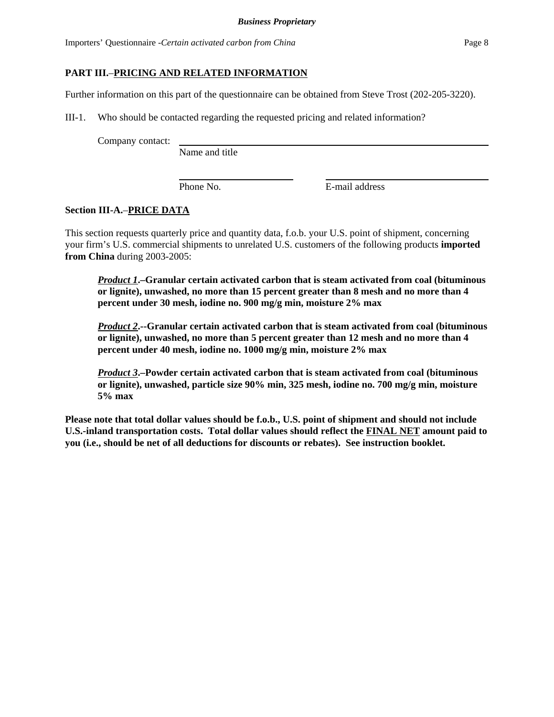Importers' Questionnaire -*Certain activated carbon from China* Page 8

## **PART III.**–**PRICING AND RELATED INFORMATION**

Further information on this part of the questionnaire can be obtained from Steve Trost (202-205-3220).

III-1. Who should be contacted regarding the requested pricing and related information?

Company contact:

Name and title

Phone No. **E**-mail address

## **Section III-A.**–**PRICE DATA**

This section requests quarterly price and quantity data, f.o.b. your U.S. point of shipment, concerning your firm's U.S. commercial shipments to unrelated U.S. customers of the following products **imported from China** during 2003-2005:

*Product 1***.–Granular certain activated carbon that is steam activated from coal (bituminous or lignite), unwashed, no more than 15 percent greater than 8 mesh and no more than 4 percent under 30 mesh, iodine no. 900 mg/g min, moisture 2% max**

*Product 2***.--Granular certain activated carbon that is steam activated from coal (bituminous or lignite), unwashed, no more than 5 percent greater than 12 mesh and no more than 4 percent under 40 mesh, iodine no. 1000 mg/g min, moisture 2% max**

*Product 3***.–Powder certain activated carbon that is steam activated from coal (bituminous or lignite), unwashed, particle size 90% min, 325 mesh, iodine no. 700 mg/g min, moisture 5% max**

**Please note that total dollar values should be f.o.b., U.S. point of shipment and should not include U.S.-inland transportation costs. Total dollar values should reflect the FINAL NET amount paid to you (i.e., should be net of all deductions for discounts or rebates). See instruction booklet.**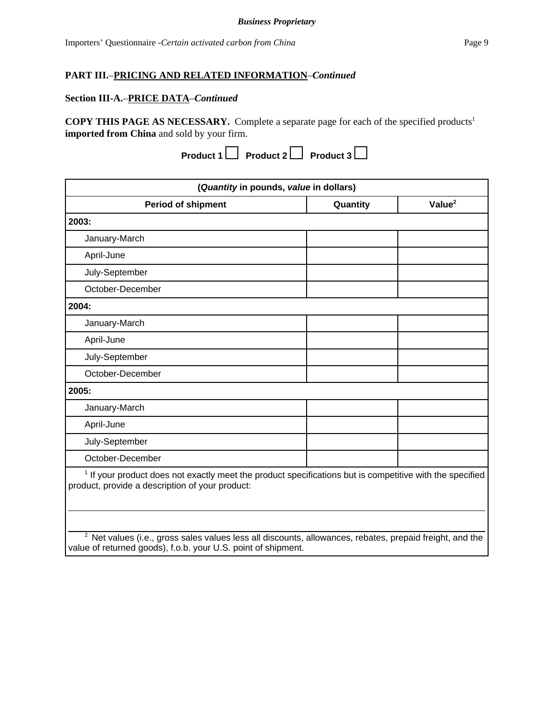## **Section III-A.**–**PRICE DATA**–*Continued*

**COPY THIS PAGE AS NECESSARY.** Complete a separate page for each of the specified products1 **imported from China** and sold by your firm.

|  | Product $1 \Box$ Product $2 \Box$ Product $3 \Box$ |  |  |
|--|----------------------------------------------------|--|--|
|--|----------------------------------------------------|--|--|

| (Quantity in pounds, value in dollars)                                                                                                                                               |          |                    |  |
|--------------------------------------------------------------------------------------------------------------------------------------------------------------------------------------|----------|--------------------|--|
| <b>Period of shipment</b>                                                                                                                                                            | Quantity | Value <sup>2</sup> |  |
| 2003:                                                                                                                                                                                |          |                    |  |
| January-March                                                                                                                                                                        |          |                    |  |
| April-June                                                                                                                                                                           |          |                    |  |
| July-September                                                                                                                                                                       |          |                    |  |
| October-December                                                                                                                                                                     |          |                    |  |
| 2004:                                                                                                                                                                                |          |                    |  |
| January-March                                                                                                                                                                        |          |                    |  |
| April-June                                                                                                                                                                           |          |                    |  |
| July-September                                                                                                                                                                       |          |                    |  |
| October-December                                                                                                                                                                     |          |                    |  |
| 2005:                                                                                                                                                                                |          |                    |  |
| January-March                                                                                                                                                                        |          |                    |  |
| April-June                                                                                                                                                                           |          |                    |  |
| July-September                                                                                                                                                                       |          |                    |  |
| October-December                                                                                                                                                                     |          |                    |  |
| <sup>1</sup> If your product does not exactly meet the product specifications but is competitive with the specified<br>product, provide a description of your product:               |          |                    |  |
| <sup>2</sup> Net values (i.e., gross sales values less all discounts, allowances, rebates, prepaid freight, and the<br>value of returned goods), f.o.b. your U.S. point of shipment. |          |                    |  |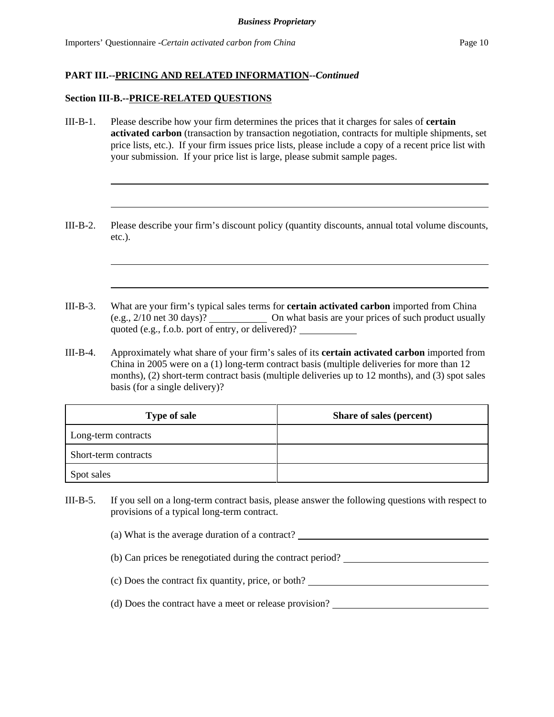#### **Section III-B.--PRICE-RELATED QUESTIONS**

- III-B-1. Please describe how your firm determines the prices that it charges for sales of **certain activated carbon** (transaction by transaction negotiation, contracts for multiple shipments, set price lists, etc.). If your firm issues price lists, please include a copy of a recent price list with your submission. If your price list is large, please submit sample pages.
- III-B-2. Please describe your firm's discount policy (quantity discounts, annual total volume discounts, etc.).
- III-B-3. What are your firm's typical sales terms for **certain activated carbon** imported from China (e.g., 2/10 net 30 days)? On what basis are your prices of such product usually quoted (e.g., f.o.b. port of entry, or delivered)?
- III-B-4. Approximately what share of your firm's sales of its **certain activated carbon** imported from China in 2005 were on a (1) long-term contract basis (multiple deliveries for more than 12 months), (2) short-term contract basis (multiple deliveries up to 12 months), and (3) spot sales basis (for a single delivery)?

| <b>Type of sale</b>  | <b>Share of sales (percent)</b> |
|----------------------|---------------------------------|
| Long-term contracts  |                                 |
| Short-term contracts |                                 |
| Spot sales           |                                 |

III-B-5. If you sell on a long-term contract basis, please answer the following questions with respect to provisions of a typical long-term contract.

(a) What is the average duration of a contract?

- (b) Can prices be renegotiated during the contract period?
- (c) Does the contract fix quantity, price, or both?
- (d) Does the contract have a meet or release provision?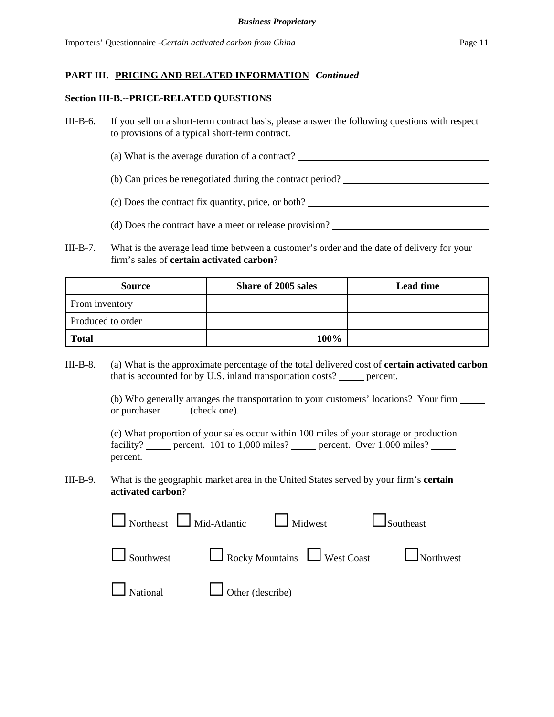#### **Section III-B.--PRICE-RELATED QUESTIONS**

- III-B-6. If you sell on a short-term contract basis, please answer the following questions with respect to provisions of a typical short-term contract.
	- (a) What is the average duration of a contract?
	- (b) Can prices be renegotiated during the contract period?
	- (c) Does the contract fix quantity, price, or both?
	- (d) Does the contract have a meet or release provision?
- III-B-7. What is the average lead time between a customer's order and the date of delivery for your firm's sales of **certain activated carbon**?

| <b>Source</b>     | Share of 2005 sales | <b>Lead time</b> |
|-------------------|---------------------|------------------|
| From inventory    |                     |                  |
| Produced to order |                     |                  |
| <b>Total</b>      | 100%                |                  |

III-B-8. (a) What is the approximate percentage of the total delivered cost of **certain activated carbon** that is accounted for by U.S. inland transportation costs? \_\_\_\_\_\_ percent.

> (b) Who generally arranges the transportation to your customers' locations? Your firm or purchaser (check one).

(c) What proportion of your sales occur within 100 miles of your storage or production facility? \_\_\_\_\_ percent. 101 to 1,000 miles? \_\_\_\_\_ percent. Over 1,000 miles? \_\_\_\_ percent.

III-B-9. What is the geographic market area in the United States served by your firm's **certain activated carbon**?

|                             | $\Box$ Northeast $\Box$ Mid-Atlantic $\Box$ Midwest | $\Box$ Southeast                               |
|-----------------------------|-----------------------------------------------------|------------------------------------------------|
|                             |                                                     | Southwest Rocky Mountains West Coast Northwest |
| National U Other (describe) |                                                     |                                                |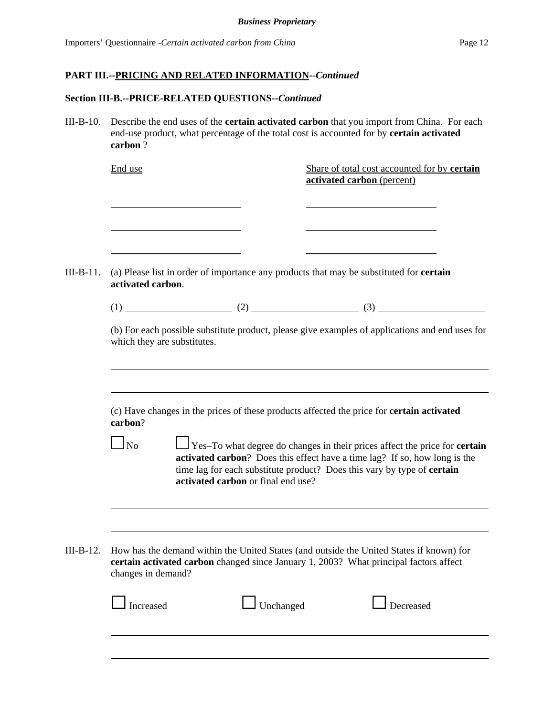#### **Section III-B.--PRICE-RELATED QUESTIONS--***Continued*

III-B-10. Describe the end uses of the **certain activated carbon** that you import from China. For each end-use product, what percentage of the total cost is accounted for by **certain activated carbon** ?

|             | End use                                                                                                                                                                                                                                                                                                                |  |  | Share of total cost accounted for by certain<br>activated carbon (percent)               |  |  |
|-------------|------------------------------------------------------------------------------------------------------------------------------------------------------------------------------------------------------------------------------------------------------------------------------------------------------------------------|--|--|------------------------------------------------------------------------------------------|--|--|
|             |                                                                                                                                                                                                                                                                                                                        |  |  |                                                                                          |  |  |
| III-B-11.   | <u> 1989 - Johann Barn, mars ann an t-Amhain Aonaich an t-Aonaich an t-Aonaich ann an t-Aonaich ann an t-Aonaich</u><br>(a) Please list in order of importance any products that may be substituted for <b>certain</b><br>activated carbon.                                                                            |  |  |                                                                                          |  |  |
|             |                                                                                                                                                                                                                                                                                                                        |  |  |                                                                                          |  |  |
|             | (b) For each possible substitute product, please give examples of applications and end uses for<br>which they are substitutes.                                                                                                                                                                                         |  |  |                                                                                          |  |  |
|             | (c) Have changes in the prices of these products affected the price for <b>certain activated</b><br>carbon?                                                                                                                                                                                                            |  |  |                                                                                          |  |  |
|             | $\Box$ Yes–To what degree do changes in their prices affect the price for <b>certain</b><br>$\overline{\phantom{0}}$ No<br>activated carbon? Does this effect have a time lag? If so, how long is the<br>time lag for each substitute product? Does this vary by type of certain<br>activated carbon or final end use? |  |  |                                                                                          |  |  |
|             |                                                                                                                                                                                                                                                                                                                        |  |  |                                                                                          |  |  |
| $III-B-12.$ |                                                                                                                                                                                                                                                                                                                        |  |  | How has the demand within the United States (and outside the United States if known) for |  |  |
|             | changes in demand?                                                                                                                                                                                                                                                                                                     |  |  | certain activated carbon changed since January 1, 2003? What principal factors affect    |  |  |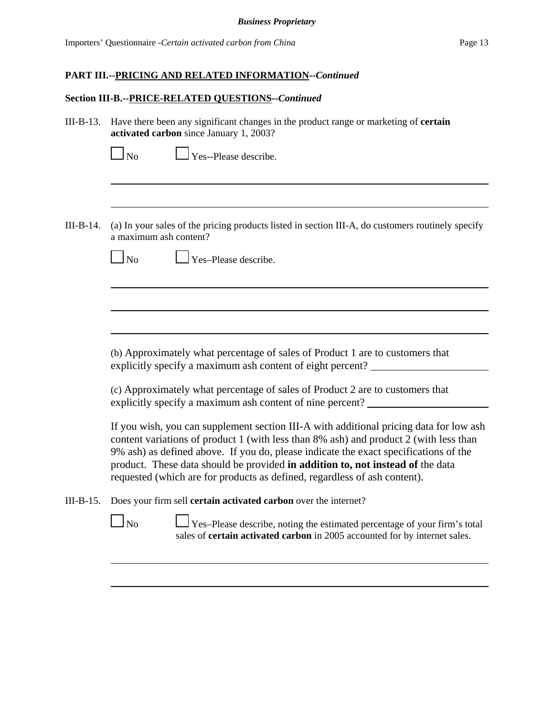#### **Section III-B.--PRICE-RELATED QUESTIONS--***Continued*

III-B-13. Have there been any significant changes in the product range or marketing of **certain activated carbon** since January 1, 2003?

**No Yes--Please describe.** 

III-B-14. (a) In your sales of the pricing products listed in section III-A, do customers routinely specify a maximum ash content?



No Yes–Please describe.

(b) Approximately what percentage of sales of Product 1 are to customers that explicitly specify a maximum ash content of eight percent?

(c) Approximately what percentage of sales of Product 2 are to customers that explicitly specify a maximum ash content of nine percent?

If you wish, you can supplement section III-A with additional pricing data for low ash content variations of product 1 (with less than 8% ash) and product 2 (with less than 9% ash) as defined above. If you do, please indicate the exact specifications of the product. These data should be provided **in addition to, not instead of** the data requested (which are for products as defined, regardless of ash content).

III-B-15. Does your firm sell **certain activated carbon** over the internet?

 $\Box$  No  $\Box$  Yes–Please describe, noting the estimated percentage of your firm's total sales of **certain activated carbon** in 2005 accounted for by internet sales.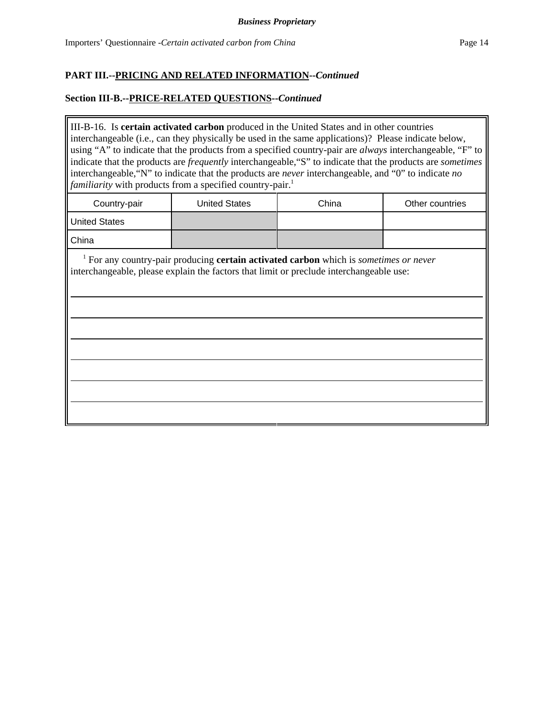## **Section III-B.--PRICE-RELATED QUESTIONS--***Continued*

III-B-16. Is **certain activated carbon** produced in the United States and in other countries interchangeable (i.e., can they physically be used in the same applications)? Please indicate below, using "A" to indicate that the products from a specified country-pair are *always* interchangeable, "F" to indicate that the products are *frequently* interchangeable,"S" to indicate that the products are *sometimes* interchangeable,"N" to indicate that the products are *never* interchangeable, and "0" to indicate *no familiarity* with products from a specified country-pair.<sup>1</sup>

| Country-pair         | <b>United States</b> | China | Other countries |
|----------------------|----------------------|-------|-----------------|
| <b>United States</b> |                      |       |                 |
| <b>China</b>         |                      |       |                 |

 <sup>1</sup> For any country-pair producing **certain activated carbon** which is *sometimes or never* interchangeable, please explain the factors that limit or preclude interchangeable use: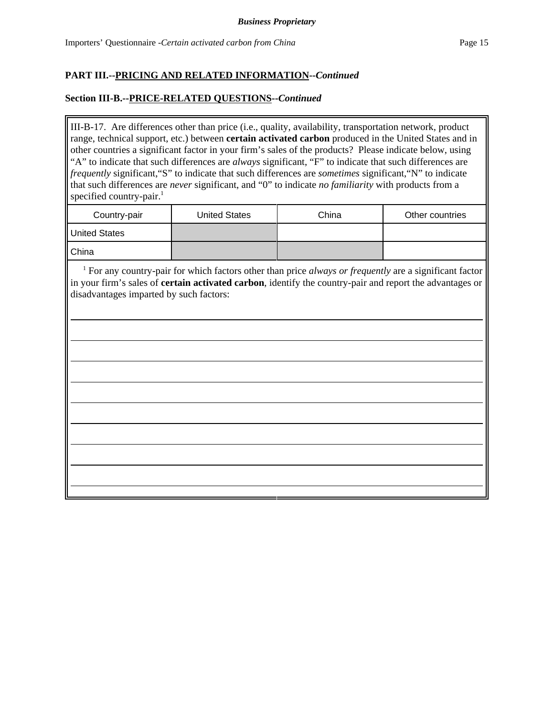## **Section III-B.--PRICE-RELATED QUESTIONS--***Continued*

III-B-17. Are differences other than price (i.e., quality, availability, transportation network, product range, technical support, etc.) between **certain activated carbon** produced in the United States and in other countries a significant factor in your firm's sales of the products? Please indicate below, using "A" to indicate that such differences are *always* significant, "F" to indicate that such differences are *frequently* significant,"S" to indicate that such differences are *sometimes* significant,"N" to indicate that such differences are *never* significant, and "0" to indicate *no familiarity* with products from a specified country-pair.<sup>1</sup>

| Country-pair         | <b>United States</b> | China | Other countries |
|----------------------|----------------------|-------|-----------------|
| <b>United States</b> |                      |       |                 |
| China                |                      |       |                 |

<sup>1</sup> For any country-pair for which factors other than price *always or frequently* are a significant factor in your firm's sales of **certain activated carbon**, identify the country-pair and report the advantages or disadvantages imparted by such factors: